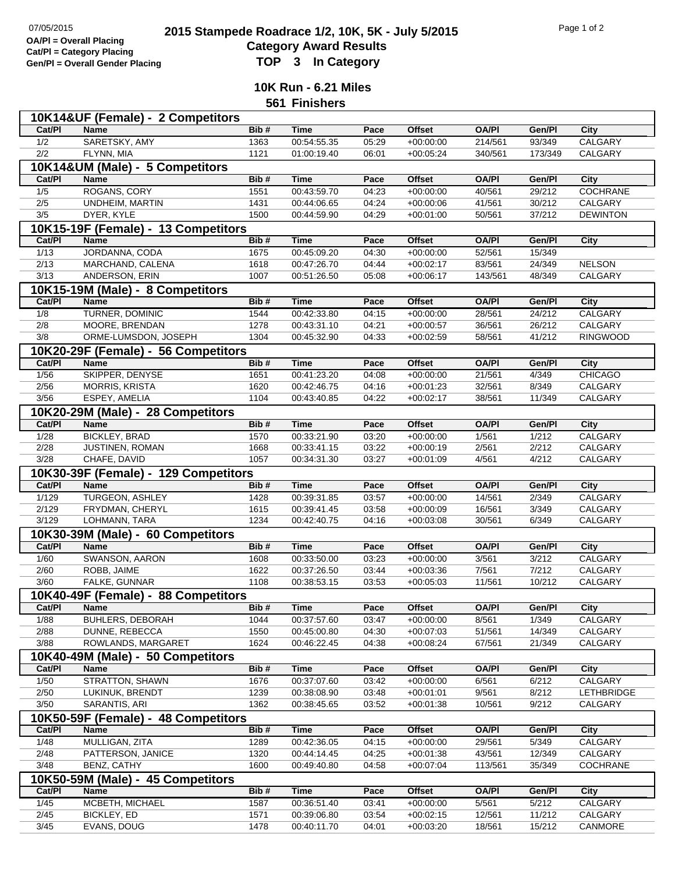## **2015 Stampede Roadrace 1/2, 10K, 5K - July 5/2015** Page 1 of 2<br> **2015 Stampede Roadrace 1/2, 10K, 5K - July 5/2015 Category Award Results Gen/Pl = Overall Gender Placing TOP 3 In Category**

**10K Run - 6.21 Miles**

**561 Finishers**

| 10K14&UF (Female) - 2 Competitors |                                      |      |             |       |               |              |         |                 |  |  |  |
|-----------------------------------|--------------------------------------|------|-------------|-------|---------------|--------------|---------|-----------------|--|--|--|
| Cat/PI                            | <b>Name</b>                          | Bib# | <b>Time</b> | Pace  | <b>Offset</b> | <b>OA/PI</b> | Gen/Pl  | City            |  |  |  |
| 1/2                               | SARETSKY, AMY                        | 1363 | 00:54:55.35 | 05:29 | $+00:00:00$   | 214/561      | 93/349  | <b>CALGARY</b>  |  |  |  |
| 2/2                               | FLYNN, MIA                           | 1121 | 01:00:19.40 | 06:01 | $+00:05:24$   | 340/561      | 173/349 | CALGARY         |  |  |  |
| 10K14&UM (Male) - 5 Competitors   |                                      |      |             |       |               |              |         |                 |  |  |  |
| Cat/Pl                            | <b>Name</b>                          | Bib# | <b>Time</b> | Pace  | <b>Offset</b> | <b>OA/PI</b> | Gen/Pl  | City            |  |  |  |
| 1/5                               | ROGANS, CORY                         | 1551 | 00:43:59.70 | 04:23 | $+00:00:00$   | 40/561       | 29/212  | <b>COCHRANE</b> |  |  |  |
| 2/5                               | <b>UNDHEIM, MARTIN</b>               | 1431 | 00:44:06.65 | 04:24 | $+00:00:06$   | 41/561       | 30/212  | CALGARY         |  |  |  |
| 3/5                               |                                      | 1500 | 00:44:59.90 | 04:29 |               |              |         | <b>DEWINTON</b> |  |  |  |
|                                   | DYER, KYLE                           |      |             |       | $+00:01:00$   | 50/561       | 37/212  |                 |  |  |  |
|                                   | 10K15-19F (Female) - 13 Competitors  |      |             |       |               |              |         |                 |  |  |  |
| Cat/PI                            | <b>Name</b>                          | Bib# | <b>Time</b> | Pace  | <b>Offset</b> | <b>OA/PI</b> | Gen/Pl  | <b>City</b>     |  |  |  |
| 1/13                              | JORDANNA, CODA                       | 1675 | 00:45:09.20 | 04:30 | $+00:00:00$   | 52/561       | 15/349  |                 |  |  |  |
| 2/13                              | MARCHAND, CALENA                     | 1618 | 00:47:26.70 | 04:44 | $+00:02:17$   | 83/561       | 24/349  | <b>NELSON</b>   |  |  |  |
| $\frac{3}{13}$                    | ANDERSON, ERIN                       | 1007 | 00:51:26.50 | 05:08 | $+00:06:17$   | 143/561      | 48/349  | CALGARY         |  |  |  |
|                                   | 10K15-19M (Male) - 8 Competitors     |      |             |       |               |              |         |                 |  |  |  |
| Cat/PI                            | <b>Name</b>                          | Bib# | <b>Time</b> | Pace  | <b>Offset</b> | <b>OA/PI</b> | Gen/Pl  | <b>City</b>     |  |  |  |
| 1/8                               | TURNER, DOMINIC                      | 1544 | 00:42:33.80 | 04:15 | $+00:00:00$   | 28/561       | 24/212  | <b>CALGARY</b>  |  |  |  |
| 2/8                               | MOORE, BRENDAN                       | 1278 | 00:43:31.10 | 04:21 | $+00:00:57$   | 36/561       | 26/212  | CALGARY         |  |  |  |
| 3/8                               | ORME-LUMSDON, JOSEPH                 | 1304 | 00:45:32.90 | 04:33 | $+00:02:59$   | 58/561       | 41/212  | <b>RINGWOOD</b> |  |  |  |
|                                   | 10K20-29F (Female) - 56 Competitors  |      |             |       |               |              |         |                 |  |  |  |
| Cat/Pl                            | <b>Name</b>                          | Bib# |             | Pace  |               |              |         |                 |  |  |  |
|                                   |                                      |      | <b>Time</b> |       | <b>Offset</b> | <b>OA/PI</b> | Gen/Pl  | <b>City</b>     |  |  |  |
| $\frac{1}{56}$                    | SKIPPER, DENYSE                      | 1651 | 00:41:23.20 | 04:08 | $+00:00:00$   | 21/561       | 4/349   | <b>CHICAGO</b>  |  |  |  |
| 2/56                              | MORRIS, KRISTA                       | 1620 | 00:42:46.75 | 04:16 | $+00:01:23$   | 32/561       | 8/349   | CALGARY         |  |  |  |
| 3/56                              | ESPEY, AMELIA                        | 1104 | 00:43:40.85 | 04:22 | $+00:02:17$   | 38/561       | 11/349  | CALGARY         |  |  |  |
|                                   | 10K20-29M (Male) - 28 Competitors    |      |             |       |               |              |         |                 |  |  |  |
| Cat/PI                            | Name                                 | Bib# | <b>Time</b> | Pace  | <b>Offset</b> | <b>OA/PI</b> | Gen/Pl  | City            |  |  |  |
| 1/28                              | <b>BICKLEY, BRAD</b>                 | 1570 | 00:33:21.90 | 03:20 | $+00:00:00$   | 1/561        | 1/212   | <b>CALGARY</b>  |  |  |  |
| 2/28                              | JUSTINEN, ROMAN                      | 1668 | 00:33:41.15 | 03:22 | $+00:00:19$   | 2/561        | 2/212   | CALGARY         |  |  |  |
| 3/28                              | CHAFE, DAVID                         | 1057 | 00:34:31.30 | 03:27 | $+00:01:09$   | 4/561        | 4/212   | CALGARY         |  |  |  |
|                                   | 10K30-39F (Female) - 129 Competitors |      |             |       |               |              |         |                 |  |  |  |
| Cat/PI                            | <b>Name</b>                          | Bib# | <b>Time</b> | Pace  | <b>Offset</b> | <b>OA/PI</b> | Gen/Pl  | City            |  |  |  |
| 1/129                             | <b>TURGEON, ASHLEY</b>               | 1428 | 00:39:31.85 | 03:57 | $+00:00:00$   | 14/561       | 2/349   | <b>CALGARY</b>  |  |  |  |
| 2/129                             | FRYDMAN, CHERYL                      | 1615 | 00:39:41.45 | 03:58 | $+00:00:09$   | 16/561       | 3/349   | CALGARY         |  |  |  |
| 3/129                             | LOHMANN, TARA                        | 1234 | 00:42:40.75 | 04:16 | $+00:03:08$   | 30/561       | 6/349   | CALGARY         |  |  |  |
|                                   |                                      |      |             |       |               |              |         |                 |  |  |  |
|                                   | 10K30-39M (Male) - 60 Competitors    |      |             |       |               |              |         |                 |  |  |  |
| Cat/PI                            | Name                                 | Bib# | <b>Time</b> | Pace  | <b>Offset</b> | <b>OA/PI</b> | Gen/Pl  | <b>City</b>     |  |  |  |
| 1/60                              | SWANSON, AARON                       | 1608 | 00:33:50.00 | 03:23 | $+00:00:00$   | 3/561        | 3/212   | <b>CALGARY</b>  |  |  |  |
| 2/60                              | ROBB, JAIME                          | 1622 | 00:37:26.50 | 03:44 | $+00:03:36$   | 7/561        | 7/212   | CALGARY         |  |  |  |
| 3/60                              | FALKE, GUNNAR                        | 1108 | 00:38:53.15 | 03:53 | $+00:05:03$   | 11/561       | 10/212  | CALGARY         |  |  |  |
|                                   | 10K40-49F (Female) - 88 Competitors  |      |             |       |               |              |         |                 |  |  |  |
| Cat/Pl                            | Name                                 | Bib# | <b>Time</b> | Pace  | <b>Offset</b> | <b>OA/PI</b> | Gen/PI  | City            |  |  |  |
| 1/88                              | BUHLERS, DEBORAH                     | 1044 | 00:37:57.60 | 03:47 | $+00:00:00$   | 8/561        | 1/349   | CALGARY         |  |  |  |
| 2/88                              | DUNNE, REBECCA                       | 1550 | 00:45:00.80 | 04:30 | $+00:07:03$   | 51/561       | 14/349  | CALGARY         |  |  |  |
| 3/88                              | ROWLANDS, MARGARET                   | 1624 | 00:46:22.45 | 04:38 | $+00:08:24$   | 67/561       | 21/349  | CALGARY         |  |  |  |
|                                   | 10K40-49M (Male) - 50 Competitors    |      |             |       |               |              |         |                 |  |  |  |
| Cat/PI                            | Name                                 | Bib# | <b>Time</b> | Pace  | <b>Offset</b> | <b>OA/PI</b> | Gen/Pl  | City            |  |  |  |
| 1/50                              | <b>STRATTON, SHAWN</b>               | 1676 | 00:37:07.60 | 03:42 | $+00:00:00$   | 6/561        | 6/212   | <b>CALGARY</b>  |  |  |  |
| 2/50                              | LUKINUK, BRENDT                      | 1239 | 00:38:08.90 | 03:48 | $+00:01:01$   | 9/561        | 8/212   | LETHBRIDGE      |  |  |  |
| 3/50                              | SARANTIS, ARI                        | 1362 | 00:38:45.65 | 03:52 | $+00:01:38$   | 10/561       | 9/212   | CALGARY         |  |  |  |
|                                   |                                      |      |             |       |               |              |         |                 |  |  |  |
|                                   | 10K50-59F (Female) - 48 Competitors  |      |             |       |               |              |         |                 |  |  |  |
| Cat/PI                            | <b>Name</b>                          | Bib# | <b>Time</b> | Pace  | <b>Offset</b> | <b>OA/PI</b> | Gen/Pl  | City            |  |  |  |
| 1/48                              | MULLIGAN, ZITA                       | 1289 | 00:42:36.05 | 04:15 | $+00:00:00$   | 29/561       | 5/349   | CALGARY         |  |  |  |
| 2/48                              | PATTERSON, JANICE                    | 1320 | 00:44:14.45 | 04:25 | $+00:01:38$   | 43/561       | 12/349  | CALGARY         |  |  |  |
| 3/48                              | BENZ, CATHY                          | 1600 | 00:49:40.80 | 04:58 | $+00:07:04$   | 113/561      | 35/349  | COCHRANE        |  |  |  |
|                                   | 10K50-59M (Male) - 45 Competitors    |      |             |       |               |              |         |                 |  |  |  |
| Cat/PI                            | <b>Name</b>                          | Bib# | <b>Time</b> | Pace  | <b>Offset</b> | <b>OA/PI</b> | Gen/Pl  | City            |  |  |  |
| $\frac{1}{45}$                    | MCBETH, MICHAEL                      | 1587 | 00:36:51.40 | 03:41 | $+00:00:00$   | 5/561        | 5/212   | <b>CALGARY</b>  |  |  |  |
| 2/45                              | BICKLEY, ED                          | 1571 | 00:39:06.80 | 03:54 | $+00:02:15$   | 12/561       | 11/212  | CALGARY         |  |  |  |
| $\frac{3}{45}$                    | EVANS, DOUG                          | 1478 | 00:40:11.70 | 04:01 | $+00:03:20$   | 18/561       | 15/212  | CANMORE         |  |  |  |
|                                   |                                      |      |             |       |               |              |         |                 |  |  |  |